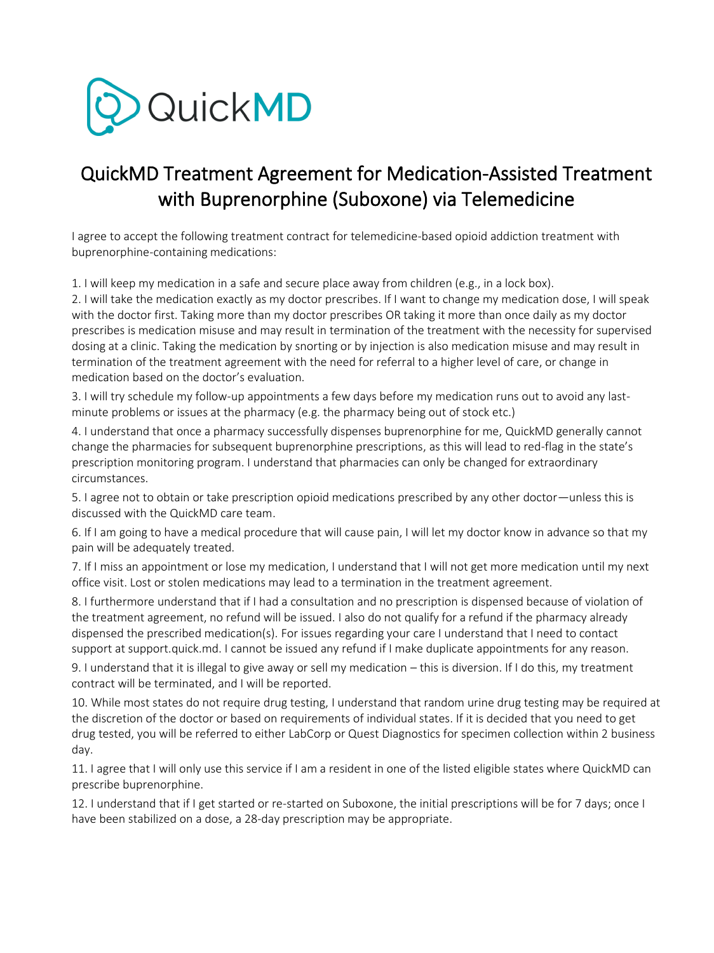

# QuickMD Treatment Agreement for Medication-Assisted Treatment with Buprenorphine (Suboxone) via Telemedicine

I agree to accept the following treatment contract for telemedicine-based opioid addiction treatment with buprenorphine-containing medications:

1. I will keep my medication in a safe and secure place away from children (e.g., in a lock box).

2. I will take the medication exactly as my doctor prescribes. If I want to change my medication dose, I will speak with the doctor first. Taking more than my doctor prescribes OR taking it more than once daily as my doctor prescribes is medication misuse and may result in termination of the treatment with the necessity for supervised dosing at a clinic. Taking the medication by snorting or by injection is also medication misuse and may result in termination of the treatment agreement with the need for referral to a higher level of care, or change in medication based on the doctor's evaluation.

3. I will try schedule my follow-up appointments a few days before my medication runs out to avoid any lastminute problems or issues at the pharmacy (e.g. the pharmacy being out of stock etc.)

4. I understand that once a pharmacy successfully dispenses buprenorphine for me, QuickMD generally cannot change the pharmacies for subsequent buprenorphine prescriptions, as this will lead to red-flag in the state's prescription monitoring program. I understand that pharmacies can only be changed for extraordinary circumstances.

5. I agree not to obtain or take prescription opioid medications prescribed by any other doctor—unless this is discussed with the QuickMD care team.

6. If I am going to have a medical procedure that will cause pain, I will let my doctor know in advance so that my pain will be adequately treated.

7. If I miss an appointment or lose my medication, I understand that I will not get more medication until my next office visit. Lost or stolen medications may lead to a termination in the treatment agreement.

8. I furthermore understand that if I had a consultation and no prescription is dispensed because of violation of the treatment agreement, no refund will be issued. I also do not qualify for a refund if the pharmacy already dispensed the prescribed medication(s). For issues regarding your care I understand that I need to contact support at support.quick.md. I cannot be issued any refund if I make duplicate appointments for any reason.

9. I understand that it is illegal to give away or sell my medication – this is diversion. If I do this, my treatment contract will be terminated, and I will be reported.

10. While most states do not require drug testing, I understand that random urine drug testing may be required at the discretion of the doctor or based on requirements of individual states. If it is decided that you need to get drug tested, you will be referred to either LabCorp or Quest Diagnostics for specimen collection within 2 business day.

11. I agree that I will only use this service if I am a resident in one of the listed eligible states where QuickMD can prescribe buprenorphine.

12. I understand that if I get started or re-started on Suboxone, the initial prescriptions will be for 7 days; once I have been stabilized on a dose, a 28-day prescription may be appropriate.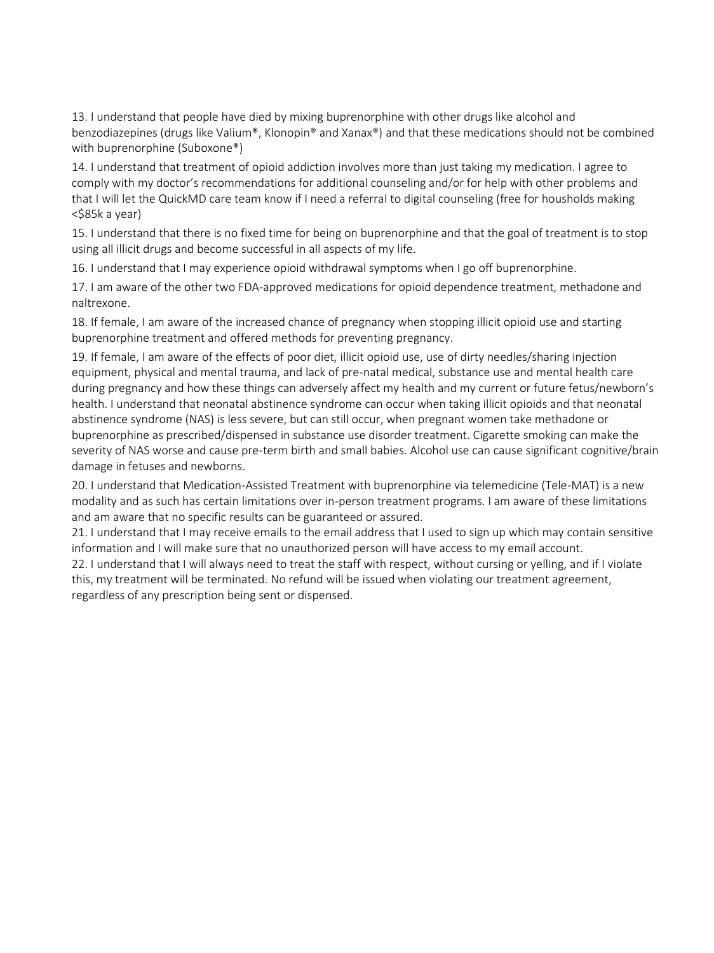13. I understand that people have died by mixing buprenorphine with other drugs like alcohol and benzodiazepines (drugs like Valium®, Klonopin® and Xanax®) and that these medications should not be combined with buprenorphine (Suboxone®)

14. I understand that treatment of opioid addiction involves more than just taking my medication. I agree to comply with my doctor's recommendations for additional counseling and/or for help with other problems and that I will let the QuickMD care team know if I need a referral to digital counseling (free for housholds making <\$85k a year)

15. I understand that there is no fixed time for being on buprenorphine and that the goal of treatment is to stop using all illicit drugs and become successful in all aspects of my life.

16. I understand that I may experience opioid withdrawal symptoms when I go off buprenorphine.

17. I am aware of the other two FDA-approved medications for opioid dependence treatment, methadone and naltrexone.

18. If female, I am aware of the increased chance of pregnancy when stopping illicit opioid use and starting buprenorphine treatment and offered methods for preventing pregnancy.

19. If female, I am aware of the effects of poor diet, illicit opioid use, use of dirty needles/sharing injection equipment, physical and mental trauma, and lack of pre-natal medical, substance use and mental health care during pregnancy and how these things can adversely affect my health and my current or future fetus/newborn's health. I understand that neonatal abstinence syndrome can occur when taking illicit opioids and that neonatal abstinence syndrome (NAS) is less severe, but can still occur, when pregnant women take methadone or buprenorphine as prescribed/dispensed in substance use disorder treatment. Cigarette smoking can make the severity of NAS worse and cause pre-term birth and small babies. Alcohol use can cause significant cognitive/brain damage in fetuses and newborns.

20. I understand that Medication-Assisted Treatment with buprenorphine via telemedicine (Tele-MAT) is a new modality and as such has certain limitations over in-person treatment programs. I am aware of these limitations and am aware that no specific results can be guaranteed or assured.

21. I understand that I may receive emails to the email address that I used to sign up which may contain sensitive information and I will make sure that no unauthorized person will have access to my email account.

22. I understand that I will always need to treat the staff with respect, without cursing or yelling, and if I violate this, my treatment will be terminated. No refund will be issued when violating our treatment agreement, regardless of any prescription being sent or dispensed.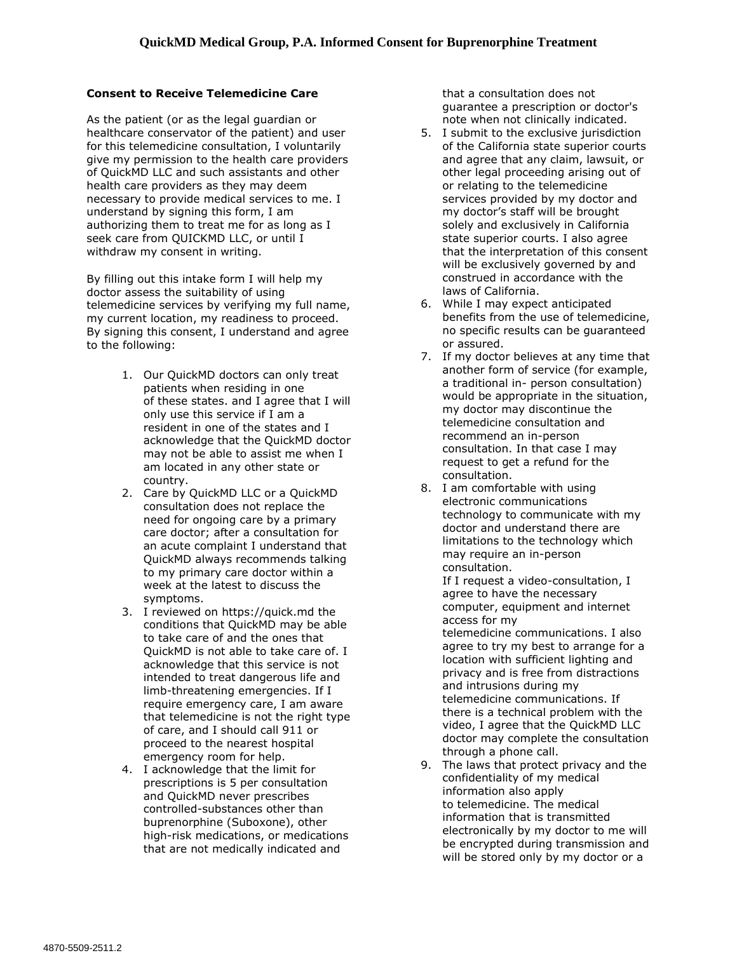#### **Consent to Receive Telemedicine Care**

As the patient (or as the legal guardian or healthcare conservator of the patient) and user for this telemedicine consultation, I voluntarily give my permission to the health care providers of QuickMD LLC and such assistants and other health care providers as they may deem necessary to provide medical services to me. I understand by signing this form, I am authorizing them to treat me for as long as I seek care from QUICKMD LLC, or until I withdraw my consent in writing.

By filling out this intake form I will help my doctor assess the suitability of using telemedicine services by verifying my full name, my current location, my readiness to proceed. By signing this consent, I understand and agree to the following:

- 1. Our QuickMD doctors can only treat patients when residing in one of [these states.](https://quick.md/states) and I agree that I will only use this service if I am a resident in one of the states and I acknowledge that the QuickMD doctor may not be able to assist me when I am located in any other state or country.
- 2. Care by QuickMD LLC or a QuickMD consultation does not replace the need for ongoing care by a primary care doctor; after a consultation for an acute complaint I understand that QuickMD always recommends talking to my primary care doctor within a week at the latest to discuss the symptoms.
- 3. I reviewed on [https://quick.md](https://quick.md/) the conditions that QuickMD may be able to take care of and the ones that QuickMD is not able to take care of. I acknowledge that this service is not intended to treat dangerous life and limb-threatening emergencies. If I require emergency care, I am aware that telemedicine is not the right type of care, and I should call 911 or proceed to the nearest hospital emergency room for help.
- 4. I acknowledge that the limit for prescriptions is 5 per consultation and QuickMD never prescribes controlled-substances other than buprenorphine (Suboxone), other high-risk medications, or medications that are not medically indicated and

that a consultation does not guarantee a prescription or doctor's note when not clinically indicated.

- 5. I submit to the exclusive jurisdiction of the California state superior courts and agree that any claim, lawsuit, or other legal proceeding arising out of or relating to the telemedicine services provided by my doctor and my doctor's staff will be brought solely and exclusively in California state superior courts. I also agree that the interpretation of this consent will be exclusively governed by and construed in accordance with the laws of California.
- 6. While I may expect anticipated benefits from the use of telemedicine, no specific results can be guaranteed or assured.
- 7. If my doctor believes at any time that another form of service (for example, a traditional in- person consultation) would be appropriate in the situation, my doctor may discontinue the telemedicine consultation and recommend an in-person consultation. In that case I may request to get a refund for the consultation.
- 8. I am comfortable with using electronic communications technology to communicate with my doctor and understand there are limitations to the technology which may require an in-person consultation.

If I request a video-consultation, I agree to have the necessary computer, equipment and internet access for my

telemedicine communications. I also agree to try my best to arrange for a location with sufficient lighting and privacy and is free from distractions and intrusions during my telemedicine communications. If there is a technical problem with the video, I agree that the QuickMD LLC doctor may complete the consultation through a phone call.

9. The laws that protect privacy and the confidentiality of my medical information also apply to telemedicine. The medical information that is transmitted electronically by my doctor to me will be encrypted during transmission and will be stored only by my doctor or a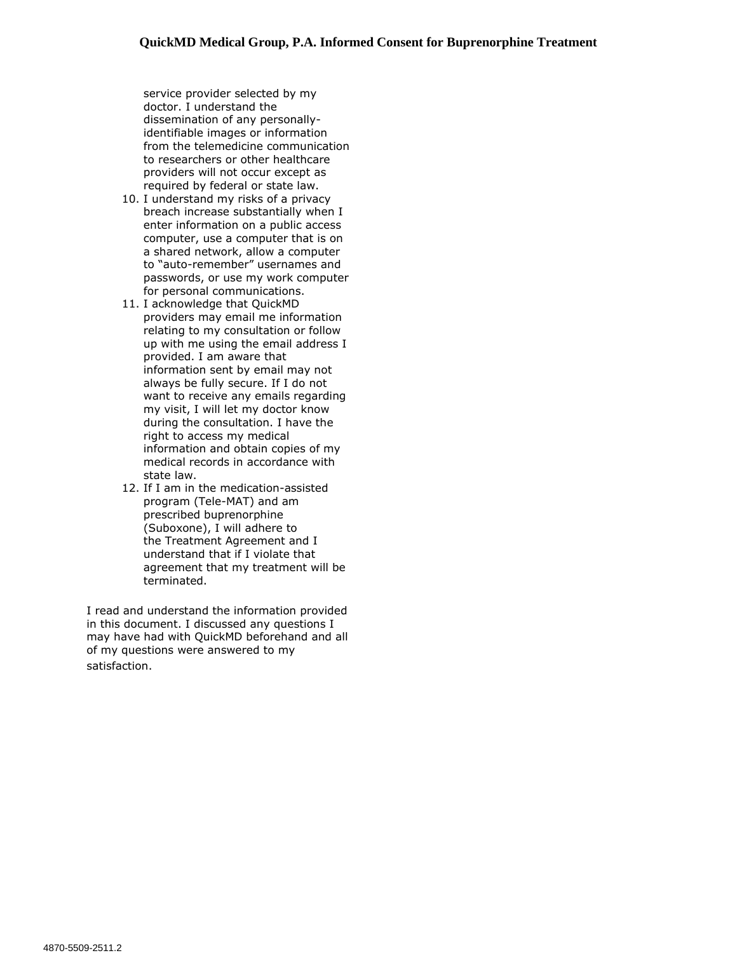service provider selected by my doctor. I understand the dissemination of any personallyidentifiable images or information from the telemedicine communication to researchers or other healthcare providers will not occur except as required by federal or state law.

- 10. I understand my risks of a privacy breach increase substantially when I enter information on a public access computer, use a computer that is on a shared network, allow a computer to "auto-remember" usernames and passwords, or use my work computer for personal communications.
- 11. I acknowledge that QuickMD providers may email me information relating to my consultation or follow up with me using the email address I provided. I am aware that information sent by email may not always be fully secure. If I do not want to receive any emails regarding my visit, I will let my doctor know during the consultation. I have the right to access my medical information and obtain copies of my medical records in accordance with state law.
- 12. If I am in the medication-assisted program (Tele-MAT) and am prescribed buprenorphine (Suboxone), I will adhere to the [Treatment Agreement](https://quick.md/wp-content/uploads/2020/08/QuickMD-Tele-MAT-Treatment-Agreement.pdf) and I understand that if I violate that agreement that my treatment will be terminated.

I read and understand the information provided in this document. I discussed any questions I may have had with QuickMD beforehand and all of my questions were answered to my satisfaction.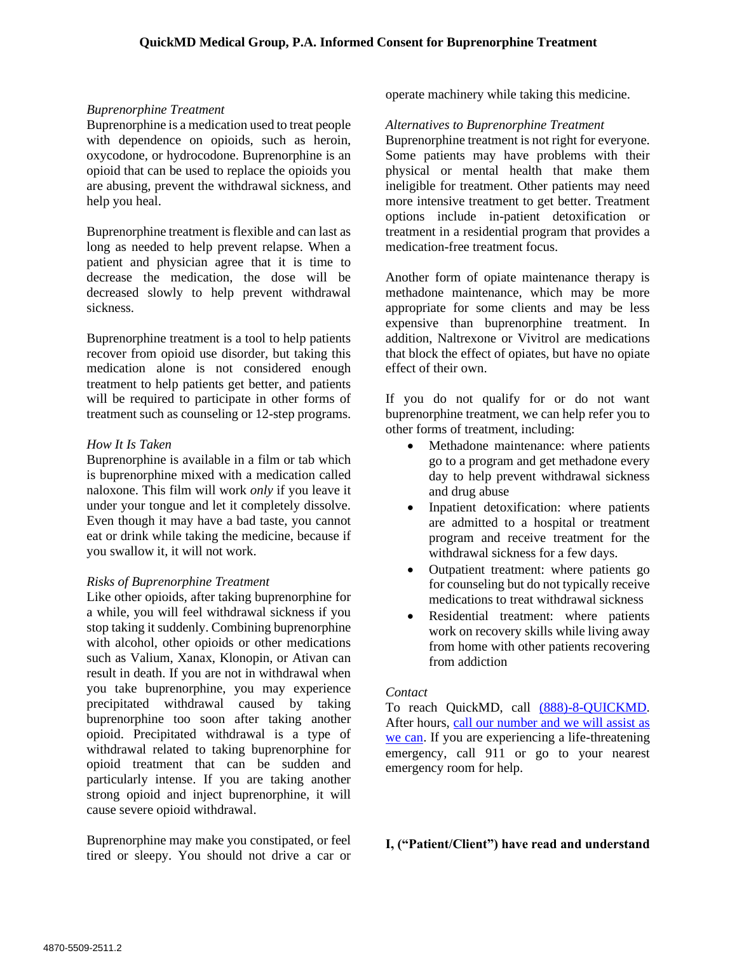## *Buprenorphine Treatment*

Buprenorphine is a medication used to treat people with dependence on opioids, such as heroin, oxycodone, or hydrocodone. Buprenorphine is an opioid that can be used to replace the opioids you are abusing, prevent the withdrawal sickness, and help you heal.

Buprenorphine treatment is flexible and can last as long as needed to help prevent relapse. When a patient and physician agree that it is time to decrease the medication, the dose will be decreased slowly to help prevent withdrawal sickness.

Buprenorphine treatment is a tool to help patients recover from opioid use disorder, but taking this medication alone is not considered enough treatment to help patients get better, and patients will be required to participate in other forms of treatment such as counseling or 12-step programs.

### *How It Is Taken*

Buprenorphine is available in a film or tab which is buprenorphine mixed with a medication called naloxone. This film will work *only* if you leave it under your tongue and let it completely dissolve. Even though it may have a bad taste, you cannot eat or drink while taking the medicine, because if you swallow it, it will not work.

## *Risks of Buprenorphine Treatment*

Like other opioids, after taking buprenorphine for a while, you will feel withdrawal sickness if you stop taking it suddenly. Combining buprenorphine with alcohol, other opioids or other medications such as Valium, Xanax, Klonopin, or Ativan can result in death. If you are not in withdrawal when you take buprenorphine, you may experience precipitated withdrawal caused by taking buprenorphine too soon after taking another opioid. Precipitated withdrawal is a type of withdrawal related to taking buprenorphine for opioid treatment that can be sudden and particularly intense. If you are taking another strong opioid and inject buprenorphine, it will cause severe opioid withdrawal.

Buprenorphine may make you constipated, or feel tired or sleepy. You should not drive a car or operate machinery while taking this medicine.

#### *Alternatives to Buprenorphine Treatment*

Buprenorphine treatment is not right for everyone. Some patients may have problems with their physical or mental health that make them ineligible for treatment. Other patients may need more intensive treatment to get better. Treatment options include in-patient detoxification or treatment in a residential program that provides a medication-free treatment focus.

Another form of opiate maintenance therapy is methadone maintenance, which may be more appropriate for some clients and may be less expensive than buprenorphine treatment. In addition, Naltrexone or Vivitrol are medications that block the effect of opiates, but have no opiate effect of their own.

If you do not qualify for or do not want buprenorphine treatment, we can help refer you to other forms of treatment, including:

- Methadone maintenance: where patients go to a program and get methadone every day to help prevent withdrawal sickness and drug abuse
- Inpatient detoxification: where patients are admitted to a hospital or treatment program and receive treatment for the withdrawal sickness for a few days.
- Outpatient treatment: where patients go for counseling but do not typically receive medications to treat withdrawal sickness
- Residential treatment: where patients work on recovery skills while living away from home with other patients recovering from addiction

#### *Contact*

To reach QuickMD, call (888)-8-QUICKMD. After hours, call our number and we will assist as we can. If you are experiencing a life-threatening emergency, call 911 or go to your nearest emergency room for help.

## **I, ("Patient/Client") have read and understand**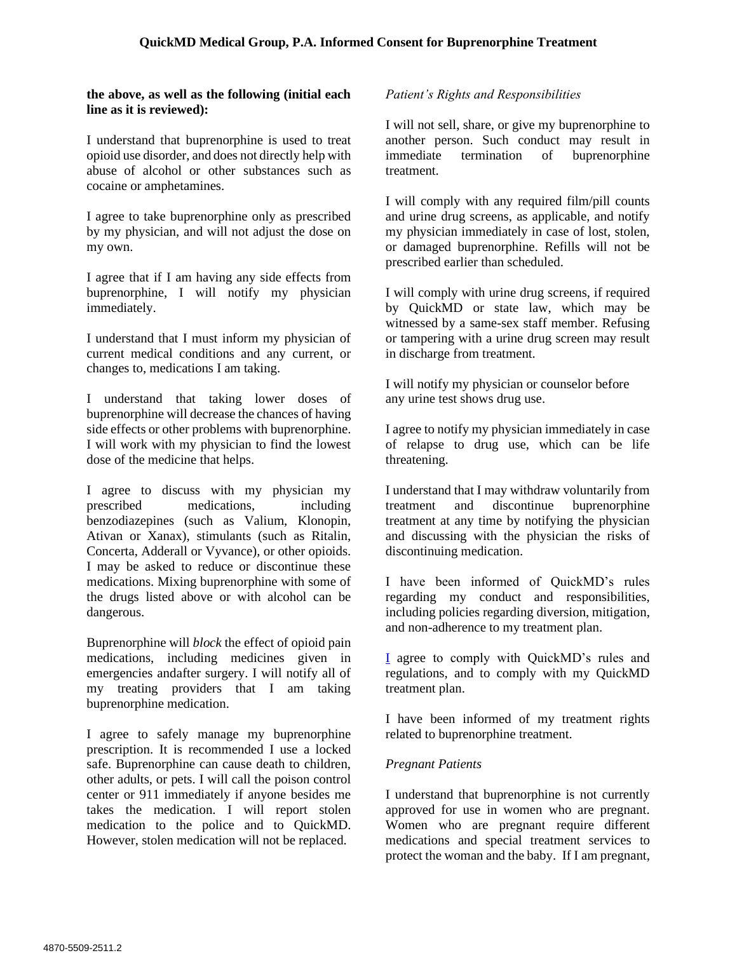### **the above, as well as the following (initial each line as it is reviewed):**

I understand that buprenorphine is used to treat opioid use disorder, and does not directly help with abuse of alcohol or other substances such as cocaine or amphetamines.

I agree to take buprenorphine only as prescribed by my physician, and will not adjust the dose on my own.

I agree that if I am having any side effects from buprenorphine, I will notify my physician immediately.

I understand that I must inform my physician of current medical conditions and any current, or changes to, medications I am taking.

I understand that taking lower doses of buprenorphine will decrease the chances of having side effects or other problems with buprenorphine. I will work with my physician to find the lowest dose of the medicine that helps.

I agree to discuss with my physician my prescribed medications, including benzodiazepines (such as Valium, Klonopin, Ativan or Xanax), stimulants (such as Ritalin, Concerta, Adderall or Vyvance), or other opioids. I may be asked to reduce or discontinue these medications. Mixing buprenorphine with some of the drugs listed above or with alcohol can be dangerous.

Buprenorphine will *block* the effect of opioid pain medications, including medicines given in emergencies andafter surgery. I will notify all of my treating providers that I am taking buprenorphine medication.

I agree to safely manage my buprenorphine prescription. It is recommended I use a locked safe. Buprenorphine can cause death to children, other adults, or pets. I will call the poison control center or 911 immediately if anyone besides me takes the medication. I will report stolen medication to the police and to QuickMD. However, stolen medication will not be replaced.

## *Patient's Rights and Responsibilities*

I will not sell, share, or give my buprenorphine to another person. Such conduct may result in immediate termination of buprenorphine treatment.

I will comply with any required film/pill counts and urine drug screens, as applicable, and notify my physician immediately in case of lost, stolen, or damaged buprenorphine. Refills will not be prescribed earlier than scheduled.

I will comply with urine drug screens, if required by QuickMD or state law, which may be witnessed by a same-sex staff member. Refusing or tampering with a urine drug screen may result in discharge from treatment.

I will notify my physician or counselor before any urine test shows drug use.

I agree to notify my physician immediately in case of relapse to drug use, which can be life threatening.

I understand that I may withdraw voluntarily from treatment and discontinue buprenorphine treatment at any time by notifying the physician and discussing with the physician the risks of discontinuing medication.

I have been informed of QuickMD's rules regarding my conduct and responsibilities, including policies regarding diversion, mitigation, and non-adherence to my treatment plan.

I agree to comply with QuickMD's rules and regulations, and to comply with my QuickMD treatment plan.

I have been informed of my treatment rights related to buprenorphine treatment.

## *Pregnant Patients*

I understand that buprenorphine is not currently approved for use in women who are pregnant. Women who are pregnant require different medications and special treatment services to protect the woman and the baby. If I am pregnant,